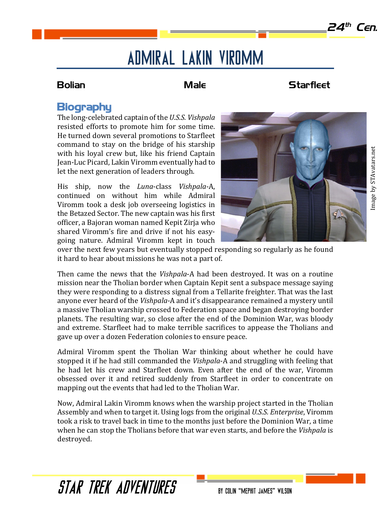# Admiral Lakin Viromm

## **Bolian Male** Male Starfleet

# **Biography**

The long-celebrated captain of the *U.S.S. Vishpala* resisted efforts to promote him for some time. He turned down several promotions to Starfleet command to stay on the bridge of his starship with his loyal crew but, like his friend Captain Jean-Luc Picard, Lakin Viromm eventually had to let the next generation of leaders through.

His ship, now the *Luna*-class *Vishpala-*A, continued on without him while Admiral Viromm took a desk job overseeing logistics in the Betazed Sector. The new captain was his first officer, a Bajoran woman named Kepit Zirja who shared Viromm's fire and drive if not his easygoing nature. Admiral Viromm kept in touch



over the next few years but eventually stopped responding so regularly as he found it hard to hear about missions he was not a part of.

Then came the news that the *Vishpala-A* had been destroyed. It was on a routine mission near the Tholian border when Captain Kepit sent a subspace message saying they were responding to a distress signal from a Tellarite freighter. That was the last anyone ever heard of the *Vishpala*-A and it's disappearance remained a mystery until a massive Tholian warship crossed to Federation space and began destroying border planets. The resulting war, so close after the end of the Dominion War, was bloody and extreme. Starfleet had to make terrible sacrifices to appease the Tholians and gave up over a dozen Federation colonies to ensure peace.

Admiral Viromm spent the Tholian War thinking about whether he could have stopped it if he had still commanded the *Vishpala*-A and struggling with feeling that he had let his crew and Starfleet down. Even after the end of the war, Viromm obsessed over it and retired suddenly from Starfleet in order to concentrate on mapping out the events that had led to the Tholian War.

Now, Admiral Lakin Viromm knows when the warship project started in the Tholian Assembly and when to target it. Using logs from the original *U.S.S. Enterprise*, Viromm took a risk to travel back in time to the months just before the Dominion War, a time when he can stop the Tholians before that war even starts, and before the *Vishpala* is destroyed.